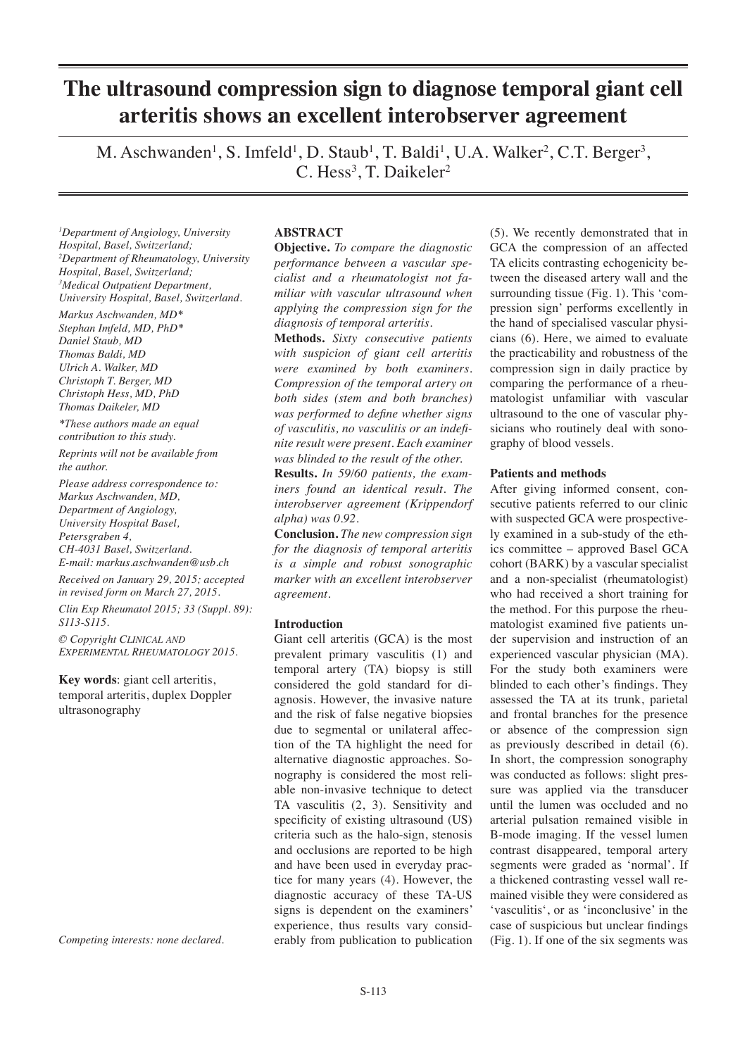# **The ultrasound compression sign to diagnose temporal giant cell arteritis shows an excellent interobserver agreement**

M. Aschwanden $^1$ , S. Imfeld $^1$ , D. Staub $^1$ , T. Baldi $^1$ , U.A. Walker $^2$ , C.T. Berger $^3$ , C. Hess<sup>3</sup>, T. Daikeler<sup>2</sup>

*1 Department of Angiology, University Hospital, Basel, Switzerland; 2 Department of Rheumatology, University Hospital, Basel, Switzerland; 3 Medical Outpatient Department, University Hospital, Basel, Switzerland.*

*Markus Aschwanden, MD\* Stephan Imfeld, MD, PhD\* Daniel Staub, MD Thomas Baldi, MD Ulrich A. Walker, MD Christoph T. Berger, MD Christoph Hess, MD, PhD Thomas Daikeler, MD*

*\*These authors made an equal contribution to this study.*

*Reprints will not be available from the author.*

*Please address correspondence to: Markus Aschwanden, MD, Department of Angiology, University Hospital Basel, Petersgraben 4, CH-4031 Basel, Switzerland. E-mail: markus.aschwanden@usb.ch*

*Received on January 29, 2015; accepted in revised form on March 27, 2015.*

*Clin Exp Rheumatol 2015; 33 (Suppl. 89): S113-S115.*

*© Copyright Clinical and Experimental Rheumatology 2015.*

**Key words**: giant cell arteritis, temporal arteritis, duplex Doppler ultrasonography

*Competing interests: none declared.*

#### **ABSTRACT**

**Objective.** *To compare the diagnostic performance between a vascular specialist and a rheumatologist not familiar with vascular ultrasound when applying the compression sign for the diagnosis of temporal arteritis.*

**Methods.** *Sixty consecutive patients with suspicion of giant cell arteritis were examined by both examiners. Compression of the temporal artery on both sides (stem and both branches) was performed to define whether signs of vasculitis, no vasculitis or an indefinite result were present. Each examiner was blinded to the result of the other.*

**Results.** *In 59/60 patients, the examiners found an identical result. The interobserver agreement (Krippendorf alpha) was 0.92.*

**Conclusion.** *The new compression sign for the diagnosis of temporal arteritis is a simple and robust sonographic marker with an excellent interobserver agreement.*

## **Introduction**

Giant cell arteritis (GCA) is the most prevalent primary vasculitis (1) and temporal artery (TA) biopsy is still considered the gold standard for diagnosis. However, the invasive nature and the risk of false negative biopsies due to segmental or unilateral affection of the TA highlight the need for alternative diagnostic approaches. Sonography is considered the most reliable non-invasive technique to detect TA vasculitis (2, 3). Sensitivity and specificity of existing ultrasound (US) criteria such as the halo-sign, stenosis and occlusions are reported to be high and have been used in everyday practice for many years (4). However, the diagnostic accuracy of these TA-US signs is dependent on the examiners' experience, thus results vary considerably from publication to publication

(5). We recently demonstrated that in GCA the compression of an affected TA elicits contrasting echogenicity between the diseased artery wall and the surrounding tissue (Fig. 1). This 'compression sign' performs excellently in the hand of specialised vascular physicians (6). Here, we aimed to evaluate the practicability and robustness of the compression sign in daily practice by comparing the performance of a rheumatologist unfamiliar with vascular ultrasound to the one of vascular physicians who routinely deal with sonography of blood vessels.

### **Patients and methods**

After giving informed consent, consecutive patients referred to our clinic with suspected GCA were prospectively examined in a sub-study of the ethics committee – approved Basel GCA cohort (BARK) by a vascular specialist and a non-specialist (rheumatologist) who had received a short training for the method. For this purpose the rheumatologist examined five patients under supervision and instruction of an experienced vascular physician (MA). For the study both examiners were blinded to each other's findings. They assessed the TA at its trunk, parietal and frontal branches for the presence or absence of the compression sign as previously described in detail (6). In short, the compression sonography was conducted as follows: slight pressure was applied via the transducer until the lumen was occluded and no arterial pulsation remained visible in B-mode imaging. If the vessel lumen contrast disappeared, temporal artery segments were graded as 'normal'. If a thickened contrasting vessel wall remained visible they were considered as 'vasculitis', or as 'inconclusive' in the case of suspicious but unclear findings (Fig. 1). If one of the six segments was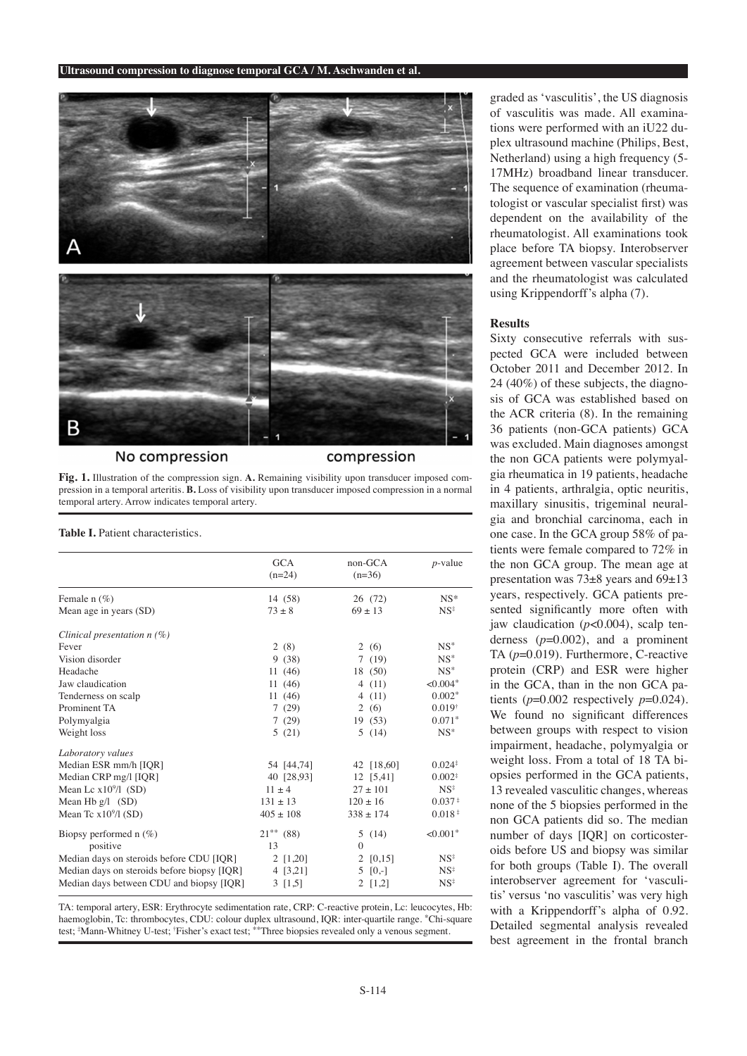

## No compression

compression

**Fig. 1.** Illustration of the compression sign. **A.** Remaining visibility upon transducer imposed compression in a temporal arteritis. **B.** Loss of visibility upon transducer imposed compression in a normal temporal artery. Arrow indicates temporal artery.

#### **Table I.** Patient characteristics.

|                                             | <b>GCA</b><br>$(n=24)$ | non-GCA<br>$(n=36)$    | $p$ -value      |
|---------------------------------------------|------------------------|------------------------|-----------------|
| Female $n$ (%)                              | 14 (58)                | 26 (72)                | $NS*$           |
| Mean age in years (SD)                      | $73 \pm 8$             | $69 \pm 13$            | $NS^{\ddagger}$ |
| Clinical presentation $n(\%)$               |                        |                        |                 |
| Fever                                       | 2(8)                   | $\mathbf{2}$<br>(6)    | $NS^*$          |
| Vision disorder                             | 9(38)                  | 7(19)                  | $NS^*$          |
| Headache                                    | 11(46)                 | 18 (50)                | $NS^*$          |
| Jaw claudication                            | 11(46)                 | 4 $(11)$               | $<0.004*$       |
| Tenderness on scalp                         | 11(46)                 | (11)<br>$\overline{4}$ | $0.002*$        |
| Prominent TA                                | 7(29)                  | $\overline{2}$<br>(6)  | $0.019^{+}$     |
| Polymyalgia                                 | 7(29)                  | 19(53)                 | $0.071*$        |
| Weight loss                                 | 5(21)                  | 5<br>(14)              | $NS^*$          |
| Laboratory values                           |                        |                        |                 |
| Median ESR mm/h [IQR]                       | 54 [44,74]             | 42 [18,60]             | $0.024*$        |
| Median CRP mg/l [IQR]                       | 40 [28,93]             | 12 [5,41]              | $0.002*$        |
| Mean Lc $x109/1$ (SD)                       | $11 + 4$               | $27 + 101$             | $NS^{\ddagger}$ |
| Mean Hb $g/l$ (SD)                          | $131 + 13$             | $120 + 16$             | $0.037*$        |
| Mean Tc $x109/1$ (SD)                       | $405 \pm 108$          | $338 \pm 174$          | $0.018*$        |
| Biopsy performed $n$ (%)                    | $21***$ (88)           | 5(14)                  | $< 0.001$ *     |
| positive                                    | 13                     | $\theta$               |                 |
| Median days on steroids before CDU [IQR]    | $2$ [1,20]             | 2 [0,15]               | $NS^{\ddagger}$ |
| Median days on steroids before biopsy [IQR] | 4 [3,21]               | $5 [0,-]$              | $NS^{\ddagger}$ |
| Median days between CDU and biopsy [IQR]    | 3[1,5]                 | 2[1,2]                 | $NS^{\ddagger}$ |

TA: temporal artery, ESR: Erythrocyte sedimentation rate, CRP: C-reactive protein, Lc: leucocytes, Hb: haemoglobin, Tc: thrombocytes, CDU: colour duplex ultrasound, IOR: inter-quartile range. \*Chi-square test; ‡ Mann-Whitney U-test; † Fisher's exact test; \*\*Three biopsies revealed only a venous segment.

graded as 'vasculitis', the US diagnosis of vasculitis was made. All examinations were performed with an iU22 duplex ultrasound machine (Philips, Best, Netherland) using a high frequency (5- 17MHz) broadband linear transducer. The sequence of examination (rheumatologist or vascular specialist first) was dependent on the availability of the rheumatologist. All examinations took place before TA biopsy. Interobserver agreement between vascular specialists and the rheumatologist was calculated using Krippendorff's alpha (7).

#### **Results**

Sixty consecutive referrals with suspected GCA were included between October 2011 and December 2012. In 24 (40%) of these subjects, the diagnosis of GCA was established based on the ACR criteria (8). In the remaining 36 patients (non-GCA patients) GCA was excluded. Main diagnoses amongst the non GCA patients were polymyalgia rheumatica in 19 patients, headache in 4 patients, arthralgia, optic neuritis, maxillary sinusitis, trigeminal neuralgia and bronchial carcinoma, each in one case. In the GCA group 58% of patients were female compared to 72% in the non GCA group. The mean age at presentation was  $73\pm8$  years and  $69\pm13$ years, respectively. GCA patients presented significantly more often with jaw claudication (*p*<0.004), scalp tenderness (*p*=0.002), and a prominent TA (*p*=0.019). Furthermore, C-reactive protein (CRP) and ESR were higher in the GCA, than in the non GCA patients  $(p=0.002$  respectively  $p=0.024$ ). We found no significant differences between groups with respect to vision impairment, headache, polymyalgia or weight loss. From a total of 18 TA biopsies performed in the GCA patients, 13 revealed vasculitic changes, whereas none of the 5 biopsies performed in the non GCA patients did so. The median number of days [IQR] on corticosteroids before US and biopsy was similar for both groups (Table I). The overall interobserver agreement for 'vasculitis' versus 'no vasculitis' was very high with a Krippendorff's alpha of 0.92. Detailed segmental analysis revealed best agreement in the frontal branch